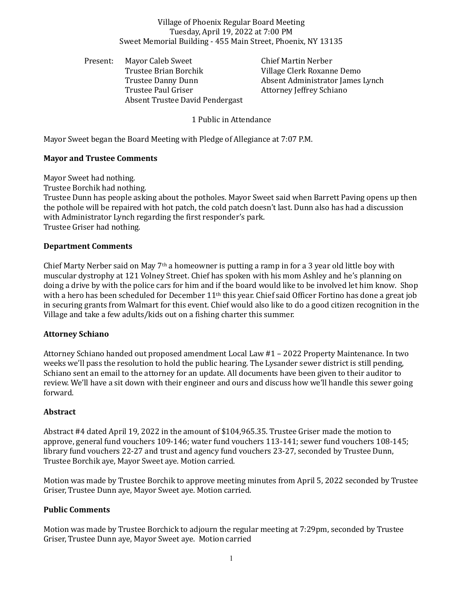Village of Phoenix Regular Board Meeting Tuesday, April 19, 2022 at 7:00 PM Sweet Memorial Building - 455 Main Street, Phoenix, NY 13135

Present: Mayor Caleb Sweet Chief Martin Nerber Trustee Brian Borchik Village Clerk Roxanne Demo Trustee Paul Griser **Attorney Jeffrey Schiano** Absent Trustee David Pendergast

Trustee Danny Dunn Absent Administrator James Lynch

1 Public in Attendance

Mayor Sweet began the Board Meeting with Pledge of Allegiance at 7:07 P.M.

# **Mayor and Trustee Comments**

Mayor Sweet had nothing.

Trustee Borchik had nothing.

Trustee Dunn has people asking about the potholes. Mayor Sweet said when Barrett Paving opens up then the pothole will be repaired with hot patch, the cold patch doesn't last. Dunn also has had a discussion with Administrator Lynch regarding the first responder's park. Trustee Griser had nothing.

## **Department Comments**

Chief Marty Nerber said on May  $7<sup>th</sup>$  a homeowner is putting a ramp in for a 3 year old little boy with muscular dystrophy at 121 Volney Street. Chief has spoken with his mom Ashley and he's planning on doing a drive by with the police cars for him and if the board would like to be involved let him know. Shop with a hero has been scheduled for December 11<sup>th</sup> this year. Chief said Officer Fortino has done a great job in securing grants from Walmart for this event. Chief would also like to do a good citizen recognition in the Village and take a few adults/kids out on a fishing charter this summer.

## **Attorney Schiano**

Attorney Schiano handed out proposed amendment Local Law #1 – 2022 Property Maintenance. In two weeks we'll pass the resolution to hold the public hearing. The Lysander sewer district is still pending, Schiano sent an email to the attorney for an update. All documents have been given to their auditor to review. We'll have a sit down with their engineer and ours and discuss how we'll handle this sewer going forward.

## **Abstract**

Abstract #4 dated April 19, 2022 in the amount of \$104,965.35. Trustee Griser made the motion to approve, general fund vouchers 109-146; water fund vouchers 113-141; sewer fund vouchers 108-145; library fund vouchers 22-27 and trust and agency fund vouchers 23-27, seconded by Trustee Dunn, Trustee Borchik aye, Mayor Sweet aye. Motion carried.

Motion was made by Trustee Borchik to approve meeting minutes from April 5, 2022 seconded by Trustee Griser, Trustee Dunn aye, Mayor Sweet aye. Motion carried.

# **Public Comments**

Motion was made by Trustee Borchick to adjourn the regular meeting at 7:29pm, seconded by Trustee Griser, Trustee Dunn aye, Mayor Sweet aye. Motion carried